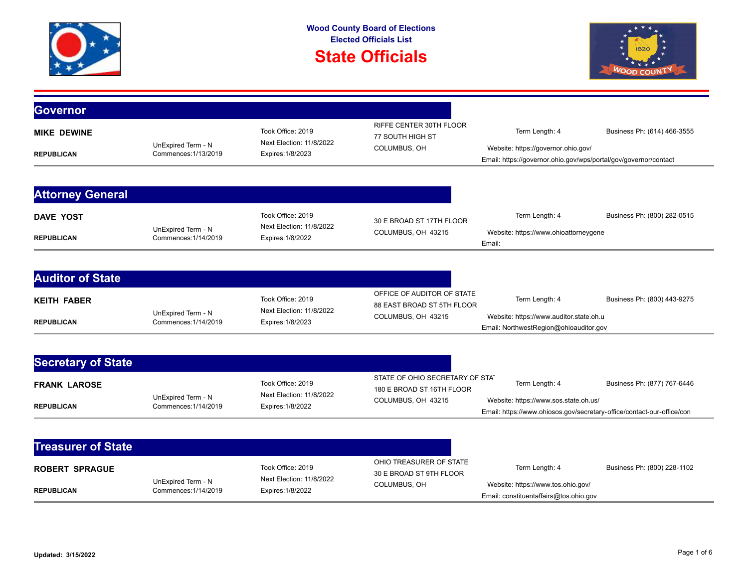## **State Officials**



| <b>Governor</b>           |                                            |                                                                    |                                                              |                                                                                                                 |                             |
|---------------------------|--------------------------------------------|--------------------------------------------------------------------|--------------------------------------------------------------|-----------------------------------------------------------------------------------------------------------------|-----------------------------|
| <b>MIKE DEWINE</b>        |                                            | Took Office: 2019                                                  | <b>RIFFE CENTER 30TH FLOOR</b><br>77 SOUTH HIGH ST           | Term Length: 4                                                                                                  | Business Ph: (614) 466-3555 |
| <b>REPUBLICAN</b>         | UnExpired Term - N<br>Commences: 1/13/2019 | Next Election: 11/8/2022<br>Expires: 1/8/2023                      | COLUMBUS, OH                                                 | Website: https://governor.ohio.gov/<br>Email: https://governor.ohio.gov/wps/portal/gov/governor/contact         |                             |
|                           |                                            |                                                                    |                                                              |                                                                                                                 |                             |
| <b>Attorney General</b>   |                                            |                                                                    |                                                              |                                                                                                                 |                             |
| <b>DAVE YOST</b>          |                                            | Took Office: 2019                                                  | 30 E BROAD ST 17TH FLOOR                                     | Term Length: 4                                                                                                  | Business Ph: (800) 282-0515 |
| <b>REPUBLICAN</b>         | UnExpired Term - N<br>Commences: 1/14/2019 | Next Election: 11/8/2022<br>Expires: 1/8/2022                      | COLUMBUS, OH 43215                                           | Website: https://www.ohioattorneygene<br>Email:                                                                 |                             |
|                           |                                            |                                                                    |                                                              |                                                                                                                 |                             |
| <b>Auditor of State</b>   |                                            |                                                                    |                                                              |                                                                                                                 |                             |
| <b>KEITH FABER</b>        |                                            | Took Office: 2019                                                  | OFFICE OF AUDITOR OF STATE<br>88 EAST BROAD ST 5TH FLOOR     | Term Length: 4                                                                                                  | Business Ph: (800) 443-9275 |
| <b>REPUBLICAN</b>         | UnExpired Term - N<br>Commences: 1/14/2019 | Next Election: 11/8/2022<br>Expires: 1/8/2023                      | COLUMBUS, OH 43215                                           | Website: https://www.auditor.state.oh.u<br>Email: NorthwestRegion@ohioauditor.gov                               |                             |
|                           |                                            |                                                                    |                                                              |                                                                                                                 |                             |
| <b>Secretary of State</b> |                                            |                                                                    |                                                              |                                                                                                                 |                             |
| <b>FRANK LAROSE</b>       | UnExpired Term - N<br>Commences: 1/14/2019 | Took Office: 2019<br>Next Election: 11/8/2022<br>Expires: 1/8/2022 | STATE OF OHIO SECRETARY OF STAT<br>180 E BROAD ST 16TH FLOOR | Term Length: 4                                                                                                  | Business Ph: (877) 767-6446 |
| <b>REPUBLICAN</b>         |                                            |                                                                    | COLUMBUS, OH 43215                                           | Website: https://www.sos.state.oh.us/<br>Email: https://www.ohiosos.gov/secretary-office/contact-our-office/con |                             |
|                           |                                            |                                                                    |                                                              |                                                                                                                 |                             |
| <b>Treasurer of State</b> |                                            |                                                                    |                                                              |                                                                                                                 |                             |
| <b>ROBERT SPRAGUE</b>     | UnExpired Term - N<br>Commences: 1/14/2019 | Took Office: 2019<br>Next Election: 11/8/2022<br>Expires: 1/8/2022 | OHIO TREASURER OF STATE<br>30 E BROAD ST 9TH FLOOR           | Term Length: 4                                                                                                  | Business Ph: (800) 228-1102 |
| <b>REPUBLICAN</b>         |                                            |                                                                    | COLUMBUS, OH                                                 | Website: https://www.tos.ohio.gov/<br>Email: constituentaffairs@tos.ohio.gov                                    |                             |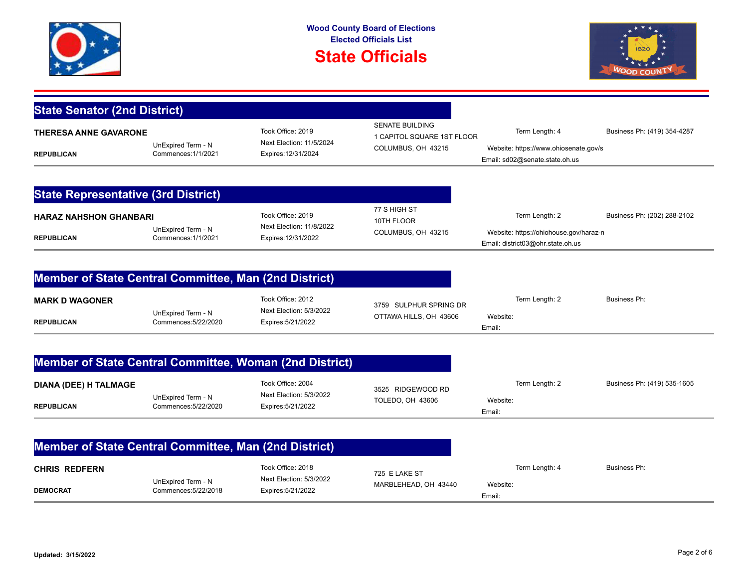

## **State Officials**



| <b>State Senator (2nd District)</b>                     |                                            |                                                                      |                                                                            |                                                                             |                             |
|---------------------------------------------------------|--------------------------------------------|----------------------------------------------------------------------|----------------------------------------------------------------------------|-----------------------------------------------------------------------------|-----------------------------|
| <b>THERESA ANNE GAVARONE</b><br><b>REPUBLICAN</b>       | UnExpired Term - N<br>Commences: 1/1/2021  | Took Office: 2019<br>Next Election: 11/5/2024<br>Expires: 12/31/2024 | <b>SENATE BUILDING</b><br>1 CAPITOL SQUARE 1ST FLOOR<br>COLUMBUS, OH 43215 | Term Length: 4<br>Website: https://www.ohiosenate.gov/s                     | Business Ph: (419) 354-4287 |
|                                                         |                                            |                                                                      |                                                                            | Email: sd02@senate.state.oh.us                                              |                             |
|                                                         |                                            |                                                                      |                                                                            |                                                                             |                             |
| <b>State Representative (3rd District)</b>              |                                            |                                                                      |                                                                            |                                                                             |                             |
| <b>HARAZ NAHSHON GHANBARI</b>                           |                                            | Took Office: 2019                                                    | 77 S HIGH ST<br>10TH FLOOR                                                 | Term Length: 2                                                              | Business Ph: (202) 288-2102 |
| <b>REPUBLICAN</b>                                       | UnExpired Term - N<br>Commences: 1/1/2021  | Next Election: 11/8/2022<br>Expires: 12/31/2022                      | COLUMBUS, OH 43215                                                         | Website: https://ohiohouse.gov/haraz-n<br>Email: district03@ohr.state.oh.us |                             |
|                                                         |                                            |                                                                      |                                                                            |                                                                             |                             |
| Member of State Central Committee, Man (2nd District)   |                                            |                                                                      |                                                                            |                                                                             |                             |
| <b>MARK D WAGONER</b>                                   | UnExpired Term - N                         | Took Office: 2012<br>Next Election: 5/3/2022                         | 3759 SULPHUR SPRING DR                                                     | Term Length: 2                                                              | Business Ph:                |
| <b>REPUBLICAN</b>                                       | Commences: 5/22/2020                       | Expires: 5/21/2022                                                   | OTTAWA HILLS, OH 43606                                                     | Website:<br>Email:                                                          |                             |
| Member of State Central Committee, Woman (2nd District) |                                            |                                                                      |                                                                            |                                                                             |                             |
|                                                         |                                            |                                                                      |                                                                            |                                                                             |                             |
| <b>DIANA (DEE) H TALMAGE</b>                            | UnExpired Term - N                         | Took Office: 2004<br>Next Election: 5/3/2022                         | 3525 RIDGEWOOD RD                                                          | Term Length: 2                                                              | Business Ph: (419) 535-1605 |
| <b>REPUBLICAN</b>                                       | Commences: 5/22/2020                       | Expires: 5/21/2022                                                   | TOLEDO, OH 43606                                                           | Website:<br>Email:                                                          |                             |
|                                                         |                                            |                                                                      |                                                                            |                                                                             |                             |
| Member of State Central Committee, Man (2nd District)   |                                            |                                                                      |                                                                            |                                                                             |                             |
| <b>CHRIS REDFERN</b>                                    | UnExpired Term - N<br>Commences: 5/22/2018 | Took Office: 2018<br>Next Election: 5/3/2022<br>Expires: 5/21/2022   | 725 E LAKE ST<br>MARBLEHEAD, OH 43440                                      | Term Length: 4                                                              | Business Ph:                |
| <b>DEMOCRAT</b>                                         |                                            |                                                                      |                                                                            | Website:<br>Email:                                                          |                             |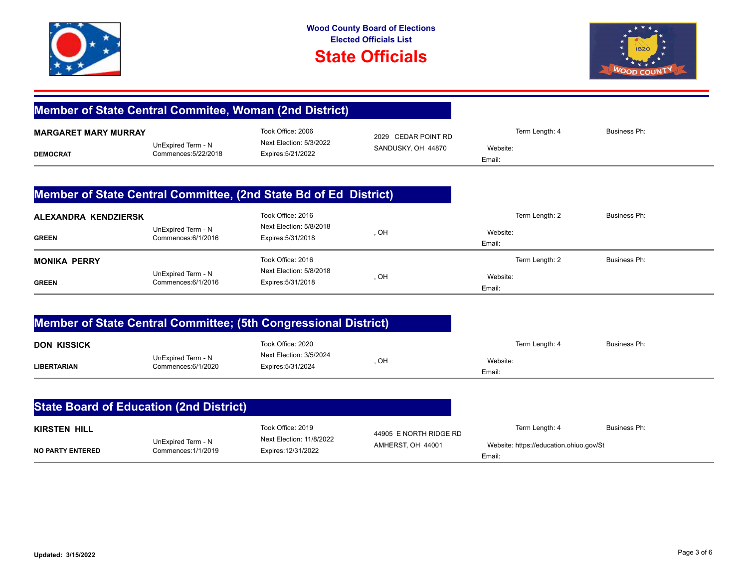



|                                                |                                            | Member of State Central Commitee, Woman (2nd District)               |                                             |                                                                     |                     |
|------------------------------------------------|--------------------------------------------|----------------------------------------------------------------------|---------------------------------------------|---------------------------------------------------------------------|---------------------|
| <b>MARGARET MARY MURRAY</b><br><b>DEMOCRAT</b> | UnExpired Term - N<br>Commences: 5/22/2018 | Took Office: 2006<br>Next Election: 5/3/2022<br>Expires: 5/21/2022   | 2029 CEDAR POINT RD<br>SANDUSKY, OH 44870   | Term Length: 4<br>Website:<br>Email:                                | <b>Business Ph:</b> |
|                                                |                                            | Member of State Central Committee, (2nd State Bd of Ed District)     |                                             |                                                                     |                     |
| ALEXANDRA KENDZIERSK<br><b>GREEN</b>           | UnExpired Term - N<br>Commences: 6/1/2016  | Took Office: 2016<br>Next Election: 5/8/2018<br>Expires: 5/31/2018   | , OH                                        | Term Length: 2<br>Website:<br>Email:                                | <b>Business Ph:</b> |
| <b>MONIKA PERRY</b><br><b>GREEN</b>            | UnExpired Term - N<br>Commences: 6/1/2016  | Took Office: 2016<br>Next Election: 5/8/2018<br>Expires: 5/31/2018   | , OH                                        | Term Length: 2<br>Website:<br>Email:                                | <b>Business Ph:</b> |
|                                                |                                            | Member of State Central Committee; (5th Congressional District)      |                                             |                                                                     |                     |
| <b>DON KISSICK</b><br><b>LIBERTARIAN</b>       | UnExpired Term - N<br>Commences: 6/1/2020  | Took Office: 2020<br>Next Election: 3/5/2024<br>Expires: 5/31/2024   | , OH                                        | Term Length: 4<br>Website:<br>Email:                                | <b>Business Ph:</b> |
| <b>State Board of Education (2nd District)</b> |                                            |                                                                      |                                             |                                                                     |                     |
| <b>KIRSTEN HILL</b><br><b>NO PARTY ENTERED</b> | UnExpired Term - N<br>Commences: 1/1/2019  | Took Office: 2019<br>Next Election: 11/8/2022<br>Expires: 12/31/2022 | 44905 E NORTH RIDGE RD<br>AMHERST, OH 44001 | Term Length: 4<br>Website: https://education.ohiuo.gov/St<br>Email: | <b>Business Ph:</b> |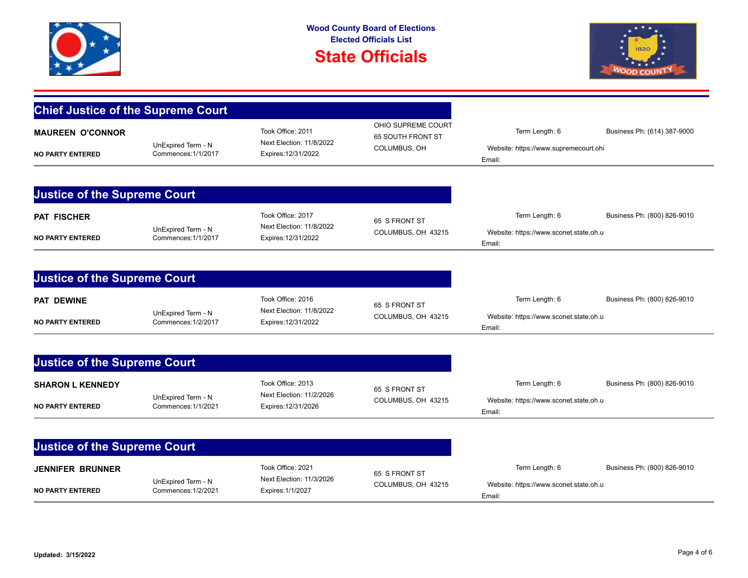

## **State Officials**



| <b>Chief Justice of the Supreme Court</b>          |                                           |                                                                      |                                                         |                                                                    |                             |
|----------------------------------------------------|-------------------------------------------|----------------------------------------------------------------------|---------------------------------------------------------|--------------------------------------------------------------------|-----------------------------|
| <b>MAUREEN O'CONNOR</b><br><b>NO PARTY ENTERED</b> | UnExpired Term - N<br>Commences: 1/1/2017 | Took Office: 2011<br>Next Election: 11/8/2022<br>Expires: 12/31/2022 | OHIO SUPREME COURT<br>65 SOUTH FRONT ST<br>COLUMBUS, OH | Term Length: 6<br>Website: https://www.supremecourt.ohi<br>Email:  | Business Ph: (614) 387-9000 |
|                                                    |                                           |                                                                      |                                                         |                                                                    |                             |
| <b>Justice of the Supreme Court</b>                |                                           |                                                                      |                                                         |                                                                    |                             |
| <b>PAT FISCHER</b><br><b>NO PARTY ENTERED</b>      | UnExpired Term - N<br>Commences: 1/1/2017 | Took Office: 2017<br>Next Election: 11/8/2022<br>Expires: 12/31/2022 | 65 S FRONT ST<br>COLUMBUS, OH 43215                     | Term Length: 6<br>Website: https://www.sconet.state.oh.u<br>Email: | Business Ph: (800) 826-9010 |
|                                                    |                                           |                                                                      |                                                         |                                                                    |                             |
| <b>Justice of the Supreme Court</b>                |                                           |                                                                      |                                                         |                                                                    |                             |
| <b>PAT DEWINE</b><br><b>NO PARTY ENTERED</b>       | UnExpired Term - N<br>Commences: 1/2/2017 | Took Office: 2016<br>Next Election: 11/8/2022<br>Expires: 12/31/2022 | 65 S FRONT ST<br>COLUMBUS, OH 43215                     | Term Length: 6<br>Website: https://www.sconet.state.oh.u<br>Email: | Business Ph: (800) 826-9010 |
|                                                    |                                           |                                                                      |                                                         |                                                                    |                             |
| <b>Justice of the Supreme Court</b>                |                                           |                                                                      |                                                         |                                                                    |                             |
| <b>SHARON L KENNEDY</b><br><b>NO PARTY ENTERED</b> | UnExpired Term - N<br>Commences: 1/1/2021 | Took Office: 2013<br>Next Election: 11/2/2026<br>Expires: 12/31/2026 | 65 S FRONT ST<br>COLUMBUS, OH 43215                     | Term Length: 6<br>Website: https://www.sconet.state.oh.u<br>Email: | Business Ph: (800) 826-9010 |
|                                                    |                                           |                                                                      |                                                         |                                                                    |                             |
| <b>Justice of the Supreme Court</b>                |                                           |                                                                      |                                                         |                                                                    |                             |
| <b>JENNIFER BRUNNER</b><br><b>NO PARTY ENTERED</b> | UnExpired Term - N<br>Commences: 1/2/2021 | Took Office: 2021<br>Next Election: 11/3/2026<br>Expires: 1/1/2027   | 65 S FRONT ST<br>COLUMBUS, OH 43215                     | Term Length: 6<br>Website: https://www.sconet.state.oh.u<br>Email: | Business Ph: (800) 826-9010 |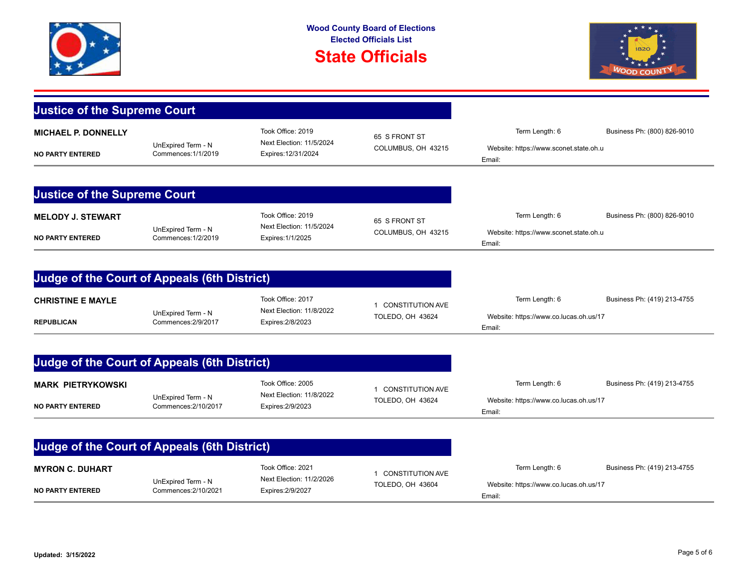